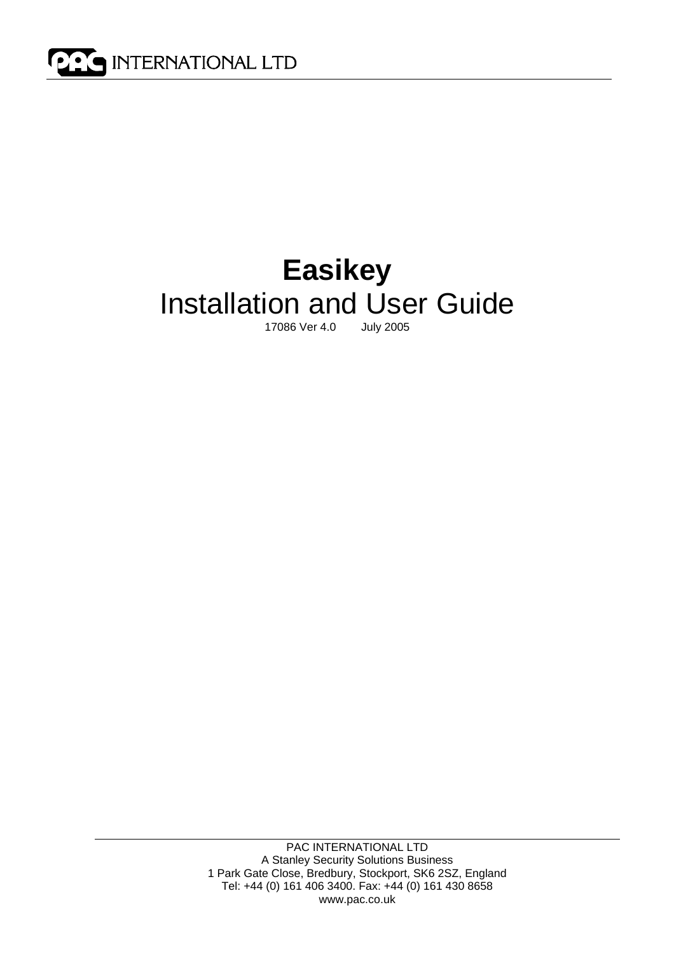

# **Easikey**  Installation and User Guide

17086 Ver 4.0

PAC INTERNATIONAL LTD A Stanley Security Solutions Business 1 Park Gate Close, Bredbury, Stockport, SK6 2SZ, England Tel: +44 (0) 161 406 3400. Fax: +44 (0) 161 430 8658 www.pac.co.uk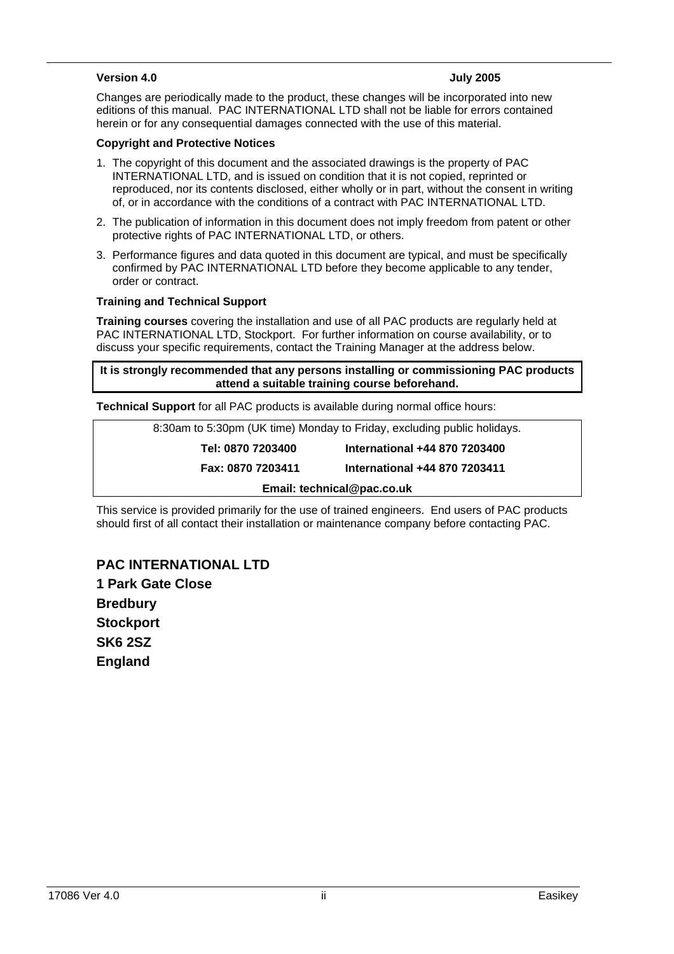#### **Version 4.0 July 2005**

Changes are periodically made to the product, these changes will be incorporated into new editions of this manual. PAC INTERNATIONAL LTD shall not be liable for errors contained herein or for any consequential damages connected with the use of this material.

#### **Copyright and Protective Notices**

- 1. The copyright of this document and the associated drawings is the property of PAC INTERNATIONAL LTD, and is issued on condition that it is not copied, reprinted or reproduced, nor its contents disclosed, either wholly or in part, without the consent in writing of, or in accordance with the conditions of a contract with PAC INTERNATIONAL LTD.
- 2. The publication of information in this document does not imply freedom from patent or other protective rights of PAC INTERNATIONAL LTD, or others.
- 3. Performance figures and data quoted in this document are typical, and must be specifically confirmed by PAC INTERNATIONAL LTD before they become applicable to any tender, order or contract.

#### **Training and Technical Support**

**Training courses** covering the installation and use of all PAC products are regularly held at PAC INTERNATIONAL LTD, Stockport. For further information on course availability, or to discuss your specific requirements, contact the Training Manager at the address below.

#### **It is strongly recommended that any persons installing or commissioning PAC products attend a suitable training course beforehand.**

**Technical Support** for all PAC products is available during normal office hours:

|                            | 8:30am to 5:30pm (UK time) Monday to Friday, excluding public holidays. |  |
|----------------------------|-------------------------------------------------------------------------|--|
| Tel: 0870 7203400          | International +44 870 7203400                                           |  |
| Fax: 0870 7203411          | International +44 870 7203411                                           |  |
| Email: technical@pac.co.uk |                                                                         |  |

This service is provided primarily for the use of trained engineers. End users of PAC products should first of all contact their installation or maintenance company before contacting PAC.

#### **PAC INTERNATIONAL LTD**

**1 Park Gate Close Bredbury Stockport SK6 2SZ England**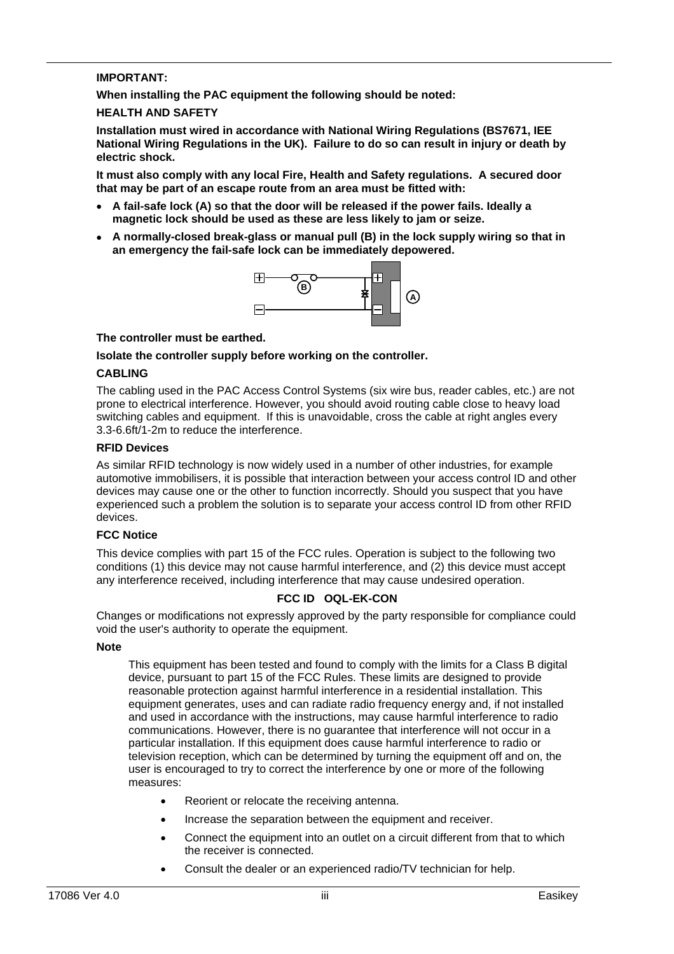#### **IMPORTANT:**

**When installing the PAC equipment the following should be noted:** 

#### **HEALTH AND SAFETY**

**Installation must wired in accordance with National Wiring Regulations (BS7671, IEE National Wiring Regulations in the UK). Failure to do so can result in injury or death by electric shock.** 

**It must also comply with any local Fire, Health and Safety regulations. A secured door that may be part of an escape route from an area must be fitted with:** 

- • **A fail-safe lock (A) so that the door will be released if the power fails. Ideally a magnetic lock should be used as these are less likely to jam or seize.**
- • **A normally-closed break-glass or manual pull (B) in the lock supply wiring so that in an emergency the fail-safe lock can be immediately depowered.**



#### **The controller must be earthed.**

#### **Isolate the controller supply before working on the controller.**

#### **CABLING**

The cabling used in the PAC Access Control Systems (six wire bus, reader cables, etc.) are not prone to electrical interference. However, you should avoid routing cable close to heavy load switching cables and equipment. If this is unavoidable, cross the cable at right angles every 3.3-6.6ft/1-2m to reduce the interference.

#### **RFID Devices**

As similar RFID technology is now widely used in a number of other industries, for example automotive immobilisers, it is possible that interaction between your access control ID and other devices may cause one or the other to function incorrectly. Should you suspect that you have experienced such a problem the solution is to separate your access control ID from other RFID devices.

#### **FCC Notice**

This device complies with part 15 of the FCC rules. Operation is subject to the following two conditions (1) this device may not cause harmful interference, and (2) this device must accept any interference received, including interference that may cause undesired operation.

#### **FCC ID OQL-EK-CON**

Changes or modifications not expressly approved by the party responsible for compliance could void the user's authority to operate the equipment.

#### **Note**

This equipment has been tested and found to comply with the limits for a Class B digital device, pursuant to part 15 of the FCC Rules. These limits are designed to provide reasonable protection against harmful interference in a residential installation. This equipment generates, uses and can radiate radio frequency energy and, if not installed and used in accordance with the instructions, may cause harmful interference to radio communications. However, there is no guarantee that interference will not occur in a particular installation. If this equipment does cause harmful interference to radio or television reception, which can be determined by turning the equipment off and on, the user is encouraged to try to correct the interference by one or more of the following measures:

- Reorient or relocate the receiving antenna.
- Increase the separation between the equipment and receiver.
- Connect the equipment into an outlet on a circuit different from that to which the receiver is connected.
- Consult the dealer or an experienced radio/TV technician for help.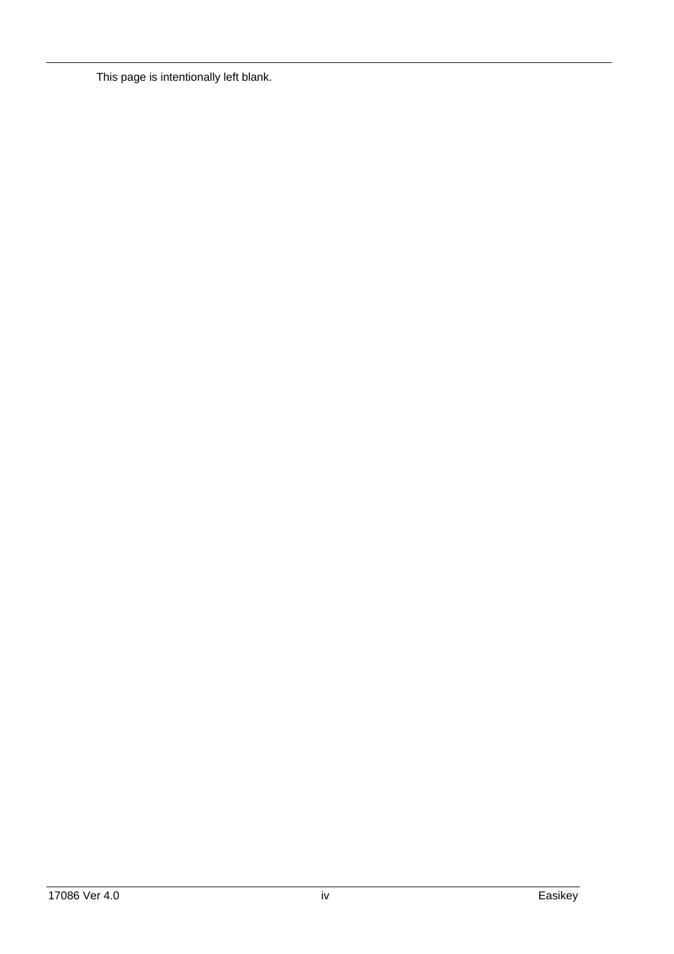This page is intentionally left blank.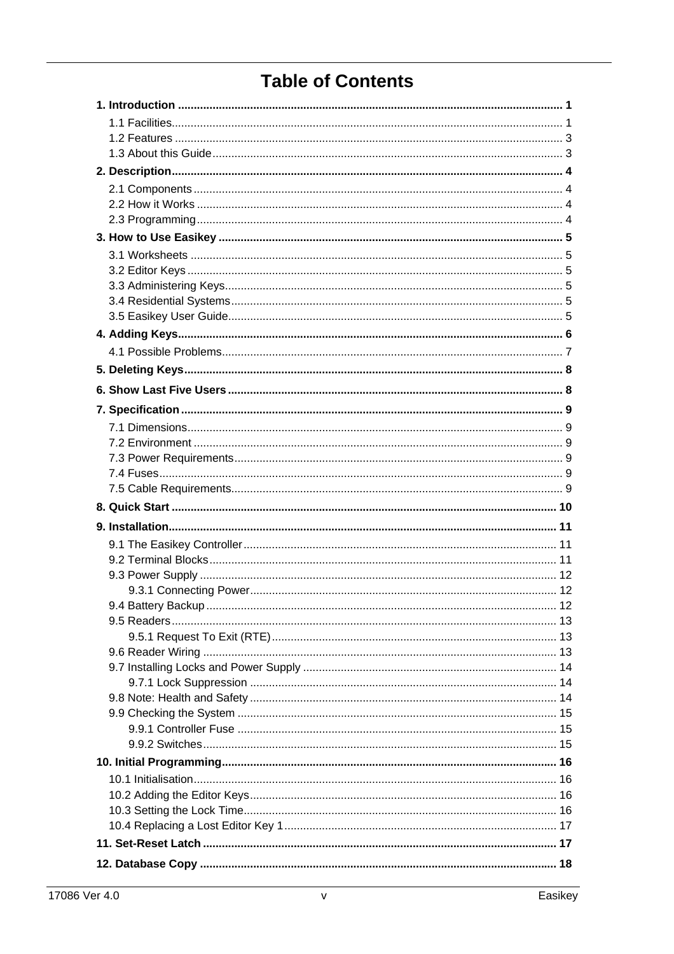## **Table of Contents**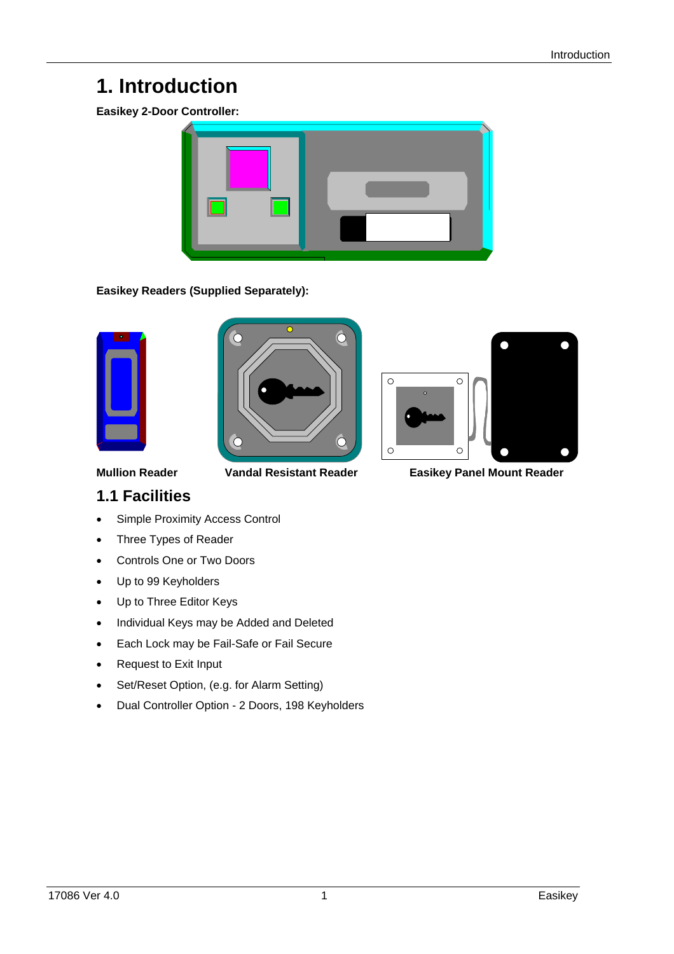## **1. Introduction**

**Easikey 2-Door Controller:** 



**Easikey Readers (Supplied Separately):** 







**Mullion Reader Vandal Resistant Reader Easikey Panel Mount Reader** 

### **1.1 Facilities**

- Simple Proximity Access Control
- Three Types of Reader
- Controls One or Two Doors
- Up to 99 Keyholders
- Up to Three Editor Keys
- Individual Keys may be Added and Deleted
- Each Lock may be Fail-Safe or Fail Secure
- Request to Exit Input
- Set/Reset Option, (e.g. for Alarm Setting)
- Dual Controller Option 2 Doors, 198 Keyholders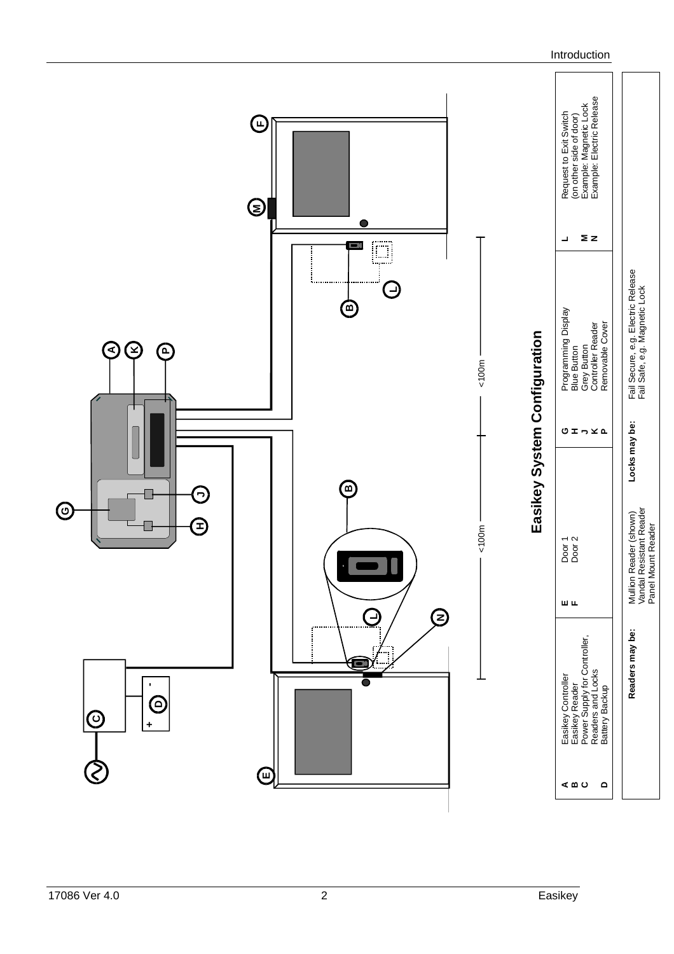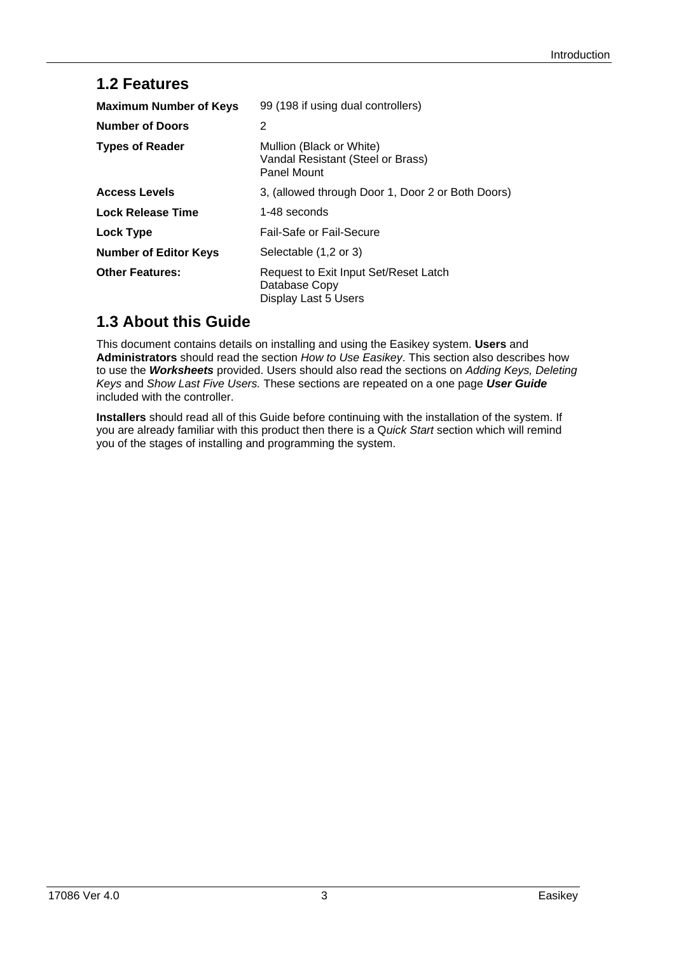### **1.2 Features**

| <b>Maximum Number of Keys</b> | 99 (198 if using dual controllers)                                             |  |
|-------------------------------|--------------------------------------------------------------------------------|--|
| <b>Number of Doors</b>        | 2                                                                              |  |
| <b>Types of Reader</b>        | Mullion (Black or White)<br>Vandal Resistant (Steel or Brass)<br>Panel Mount   |  |
| <b>Access Levels</b>          | 3, (allowed through Door 1, Door 2 or Both Doors)                              |  |
| <b>Lock Release Time</b>      | 1-48 seconds                                                                   |  |
| Lock Type                     | Fail-Safe or Fail-Secure                                                       |  |
| <b>Number of Editor Keys</b>  | Selectable (1,2 or 3)                                                          |  |
| <b>Other Features:</b>        | Request to Exit Input Set/Reset Latch<br>Database Copy<br>Display Last 5 Users |  |

### **1.3 About this Guide**

This document contains details on installing and using the Easikey system. **Users** and **Administrators** should read the section *How to Use Easikey*. This section also describes how to use the *Worksheets* provided. Users should also read the sections on *Adding Keys, Deleting Keys* and *Show Last Five Users.* These sections are repeated on a one page *User Guide* included with the controller.

**Installers** should read all of this Guide before continuing with the installation of the system. If you are already familiar with this product then there is a Q*uick Start* section which will remind you of the stages of installing and programming the system.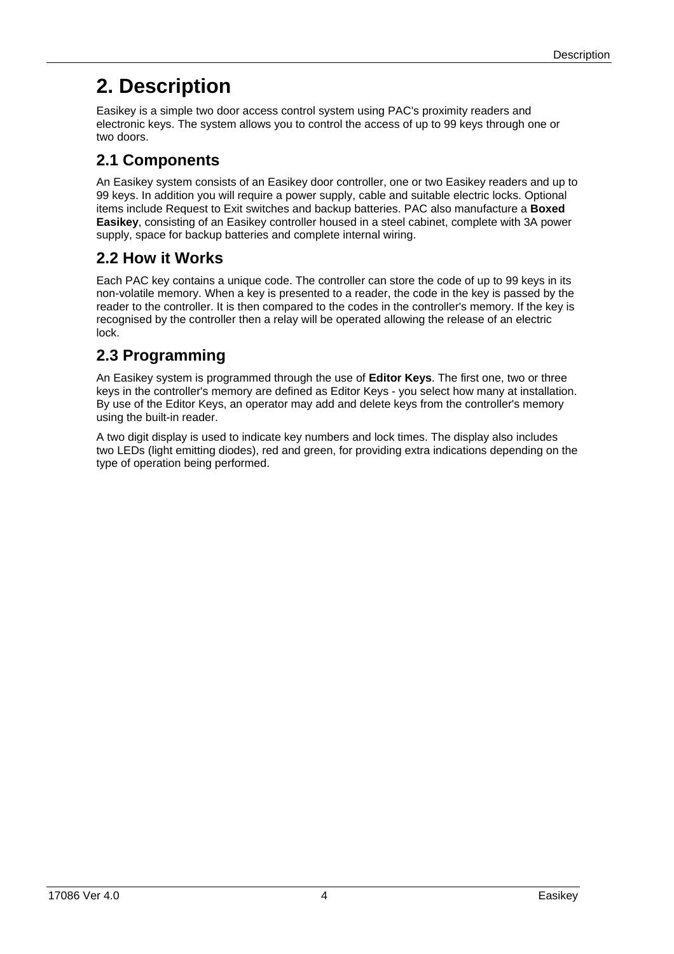## **2. Description**

Easikey is a simple two door access control system using PAC's proximity readers and electronic keys. The system allows you to control the access of up to 99 keys through one or two doors.

### **2.1 Components**

An Easikey system consists of an Easikey door controller, one or two Easikey readers and up to 99 keys. In addition you will require a power supply, cable and suitable electric locks. Optional items include Request to Exit switches and backup batteries. PAC also manufacture a **Boxed Easikey**, consisting of an Easikey controller housed in a steel cabinet, complete with 3A power supply, space for backup batteries and complete internal wiring.

### **2.2 How it Works**

Each PAC key contains a unique code. The controller can store the code of up to 99 keys in its non-volatile memory. When a key is presented to a reader, the code in the key is passed by the reader to the controller. It is then compared to the codes in the controller's memory. If the key is recognised by the controller then a relay will be operated allowing the release of an electric lock.

### **2.3 Programming**

An Easikey system is programmed through the use of **Editor Keys**. The first one, two or three keys in the controller's memory are defined as Editor Keys - you select how many at installation. By use of the Editor Keys, an operator may add and delete keys from the controller's memory using the built-in reader.

A two digit display is used to indicate key numbers and lock times. The display also includes two LEDs (light emitting diodes), red and green, for providing extra indications depending on the type of operation being performed.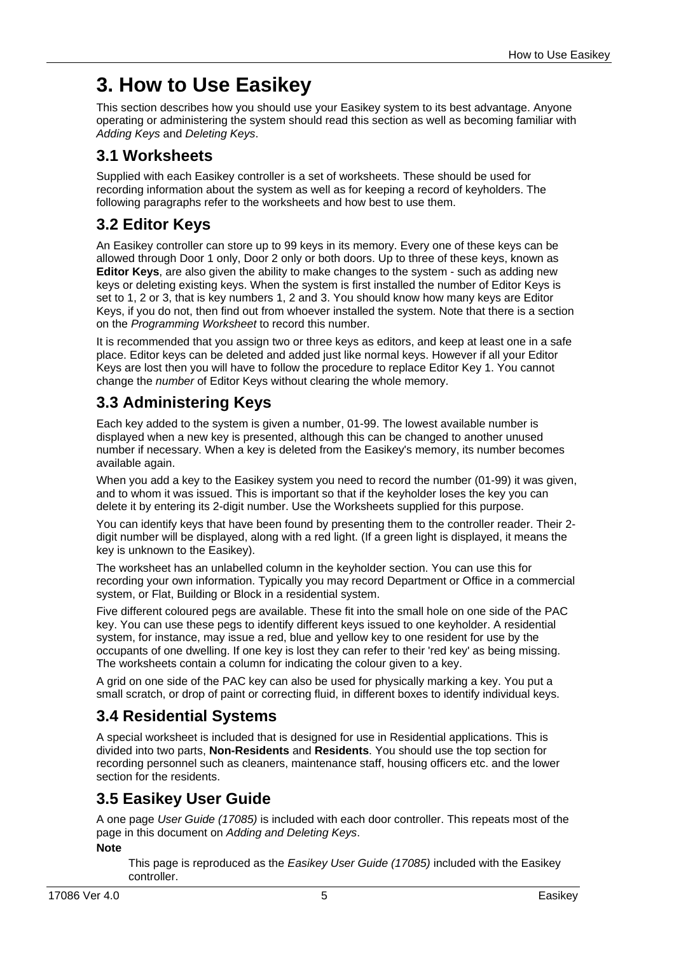## **3. How to Use Easikey**

This section describes how you should use your Easikey system to its best advantage. Anyone operating or administering the system should read this section as well as becoming familiar with *Adding Keys* and *Deleting Keys*.

### **3.1 Worksheets**

Supplied with each Easikey controller is a set of worksheets. These should be used for recording information about the system as well as for keeping a record of keyholders. The following paragraphs refer to the worksheets and how best to use them.

### **3.2 Editor Keys**

An Easikey controller can store up to 99 keys in its memory. Every one of these keys can be allowed through Door 1 only, Door 2 only or both doors. Up to three of these keys, known as **Editor Keys**, are also given the ability to make changes to the system - such as adding new keys or deleting existing keys. When the system is first installed the number of Editor Keys is set to 1, 2 or 3, that is key numbers 1, 2 and 3. You should know how many keys are Editor Keys, if you do not, then find out from whoever installed the system. Note that there is a section on the *Programming Worksheet* to record this number.

It is recommended that you assign two or three keys as editors, and keep at least one in a safe place. Editor keys can be deleted and added just like normal keys. However if all your Editor Keys are lost then you will have to follow the procedure to replace Editor Key 1. You cannot change the *number* of Editor Keys without clearing the whole memory.

### **3.3 Administering Keys**

Each key added to the system is given a number, 01-99. The lowest available number is displayed when a new key is presented, although this can be changed to another unused number if necessary. When a key is deleted from the Easikey's memory, its number becomes available again.

When you add a key to the Easikey system you need to record the number (01-99) it was given, and to whom it was issued. This is important so that if the keyholder loses the key you can delete it by entering its 2-digit number. Use the Worksheets supplied for this purpose.

You can identify keys that have been found by presenting them to the controller reader. Their 2 digit number will be displayed, along with a red light. (If a green light is displayed, it means the key is unknown to the Easikey).

The worksheet has an unlabelled column in the keyholder section. You can use this for recording your own information. Typically you may record Department or Office in a commercial system, or Flat, Building or Block in a residential system.

Five different coloured pegs are available. These fit into the small hole on one side of the PAC key. You can use these pegs to identify different keys issued to one keyholder. A residential system, for instance, may issue a red, blue and yellow key to one resident for use by the occupants of one dwelling. If one key is lost they can refer to their 'red key' as being missing. The worksheets contain a column for indicating the colour given to a key.

A grid on one side of the PAC key can also be used for physically marking a key. You put a small scratch, or drop of paint or correcting fluid, in different boxes to identify individual keys.

### **3.4 Residential Systems**

A special worksheet is included that is designed for use in Residential applications. This is divided into two parts, **Non-Residents** and **Residents**. You should use the top section for recording personnel such as cleaners, maintenance staff, housing officers etc. and the lower section for the residents.

### **3.5 Easikey User Guide**

A one page *User Guide (17085)* is included with each door controller. This repeats most of the page in this document on *Adding and Deleting Keys*.

#### **Note**

This page is reproduced as the *Easikey User Guide (17085)* included with the Easikey controller.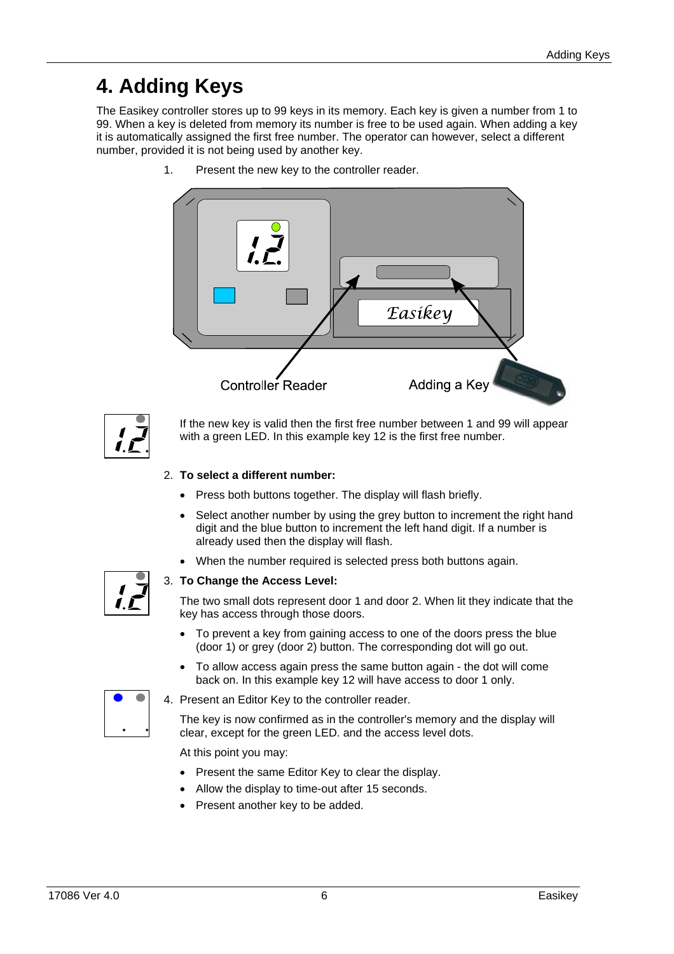## **4. Adding Keys**

The Easikey controller stores up to 99 keys in its memory. Each key is given a number from 1 to 99. When a key is deleted from memory its number is free to be used again. When adding a key it is automatically assigned the first free number. The operator can however, select a different number, provided it is not being used by another key.

- Easikey Adding a Key **Controller Reader**
- 1. Present the new key to the controller reader.



If the new key is valid then the first free number between 1 and 99 will appear with a green LED. In this example key 12 is the first free number.

#### 2. **To select a different number:**

- Press both buttons together. The display will flash briefly.
- Select another number by using the grey button to increment the right hand digit and the blue button to increment the left hand digit. If a number is already used then the display will flash.
- When the number required is selected press both buttons again.



#### 3. **To Change the Access Level:**

The two small dots represent door 1 and door 2. When lit they indicate that the key has access through those doors.

- To prevent a key from gaining access to one of the doors press the blue (door 1) or grey (door 2) button. The corresponding dot will go out.
- To allow access again press the same button again the dot will come back on. In this example key 12 will have access to door 1 only.



4. Present an Editor Key to the controller reader.

The key is now confirmed as in the controller's memory and the display will clear, except for the green LED. and the access level dots.

At this point you may:

- Present the same Editor Key to clear the display.
- Allow the display to time-out after 15 seconds.
- Present another key to be added.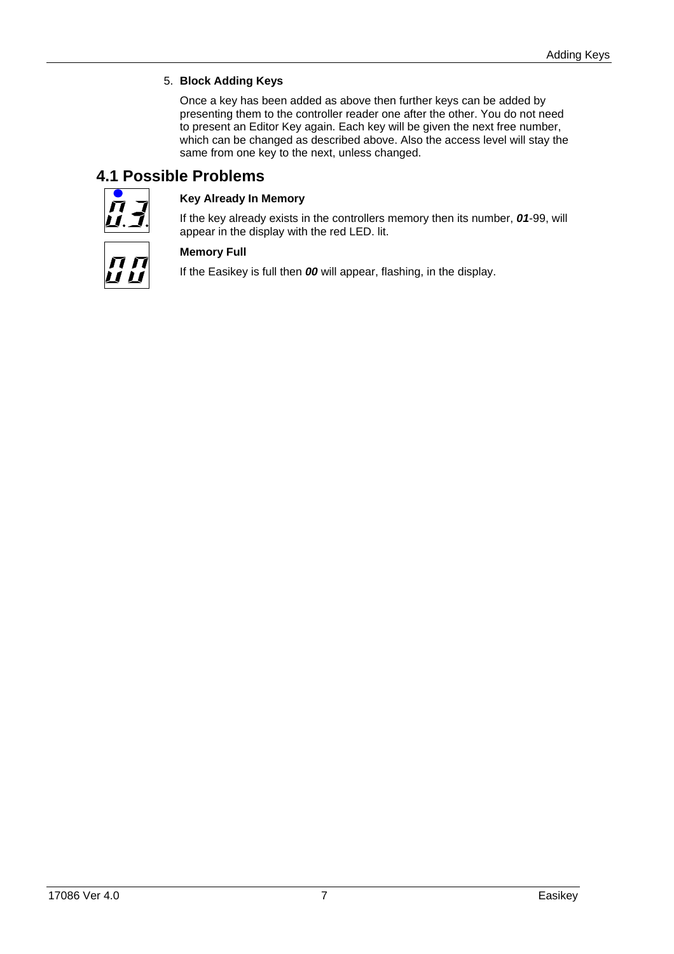#### 5. **Block Adding Keys**

Once a key has been added as above then further keys can be added by presenting them to the controller reader one after the other. You do not need to present an Editor Key again. Each key will be given the next free number, which can be changed as described above. Also the access level will stay the same from one key to the next, unless changed.

#### **4.1 Possible Problems**



#### **Key Already In Memory**

If the key already exists in the controllers memory then its number, *01*-99, will appear in the display with the red LED. lit.

## **Memory Full**

If the Easikey is full then *00* will appear, flashing, in the display.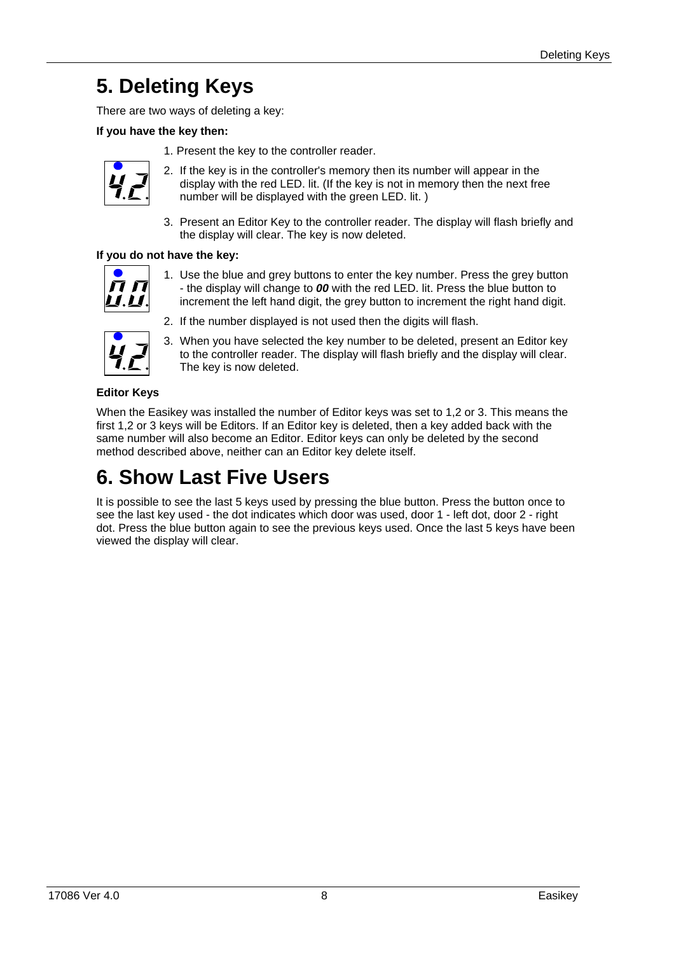## **5. Deleting Keys**

There are two ways of deleting a key:

#### **If you have the key then:**

1. Present the key to the controller reader.



- 2. If the key is in the controller's memory then its number will appear in the display with the red LED. lit. (If the key is not in memory then the next free number will be displayed with the green LED. lit. )
- 3. Present an Editor Key to the controller reader. The display will flash briefly and the display will clear. The key is now deleted.

#### **If you do not have the key:**



1. Use the blue and grey buttons to enter the key number. Press the grey button - the display will change to *00* with the red LED. lit. Press the blue button to increment the left hand digit, the grey button to increment the right hand digit.

2. If the number displayed is not used then the digits will flash.



3. When you have selected the key number to be deleted, present an Editor key to the controller reader. The display will flash briefly and the display will clear. The key is now deleted.

#### **Editor Keys**

When the Easikey was installed the number of Editor keys was set to 1,2 or 3. This means the first 1,2 or 3 keys will be Editors. If an Editor key is deleted, then a key added back with the same number will also become an Editor. Editor keys can only be deleted by the second method described above, neither can an Editor key delete itself.

## **6. Show Last Five Users**

It is possible to see the last 5 keys used by pressing the blue button. Press the button once to see the last key used - the dot indicates which door was used, door 1 - left dot, door 2 - right dot. Press the blue button again to see the previous keys used. Once the last 5 keys have been viewed the display will clear.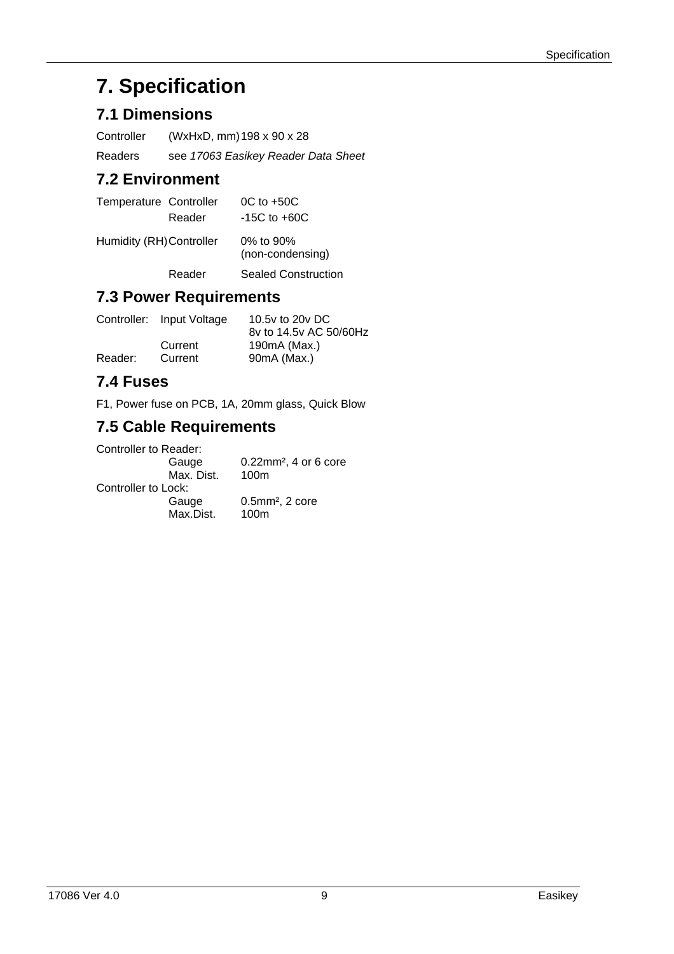## **7. Specification**

### **7.1 Dimensions**

Controller (WxHxD, mm) 198 x 90 x 28

Readers see *17063 Easikey Reader Data Sheet*

### **7.2 Environment**

| Temperature Controller   |        | $OC$ to $+50C$                |
|--------------------------|--------|-------------------------------|
|                          | Reader | $-15C$ to $+60C$              |
| Humidity (RH) Controller |        | 0% to 90%<br>(non-condensing) |
|                          | Reader | <b>Sealed Construction</b>    |

### **7.3 Power Requirements**

|         | Controller: Input Voltage | 10.5y to 20y DC<br>8v to 14.5v AC 50/60Hz |
|---------|---------------------------|-------------------------------------------|
| Reader: | Current<br>Current        | 190mA (Max.)<br>90mA (Max.)               |

### **7.4 Fuses**

F1, Power fuse on PCB, 1A, 20mm glass, Quick Blow

### **7.5 Cable Requirements**

| Controller to Reader: |            |                                      |
|-----------------------|------------|--------------------------------------|
|                       | Gauge      | $0.22$ mm <sup>2</sup> , 4 or 6 core |
|                       | Max. Dist. | 100m                                 |
| Controller to Lock:   |            |                                      |
|                       | Gauge      | $0.5$ mm <sup>2</sup> , 2 core       |
|                       | Max.Dist.  | 100m                                 |
|                       |            |                                      |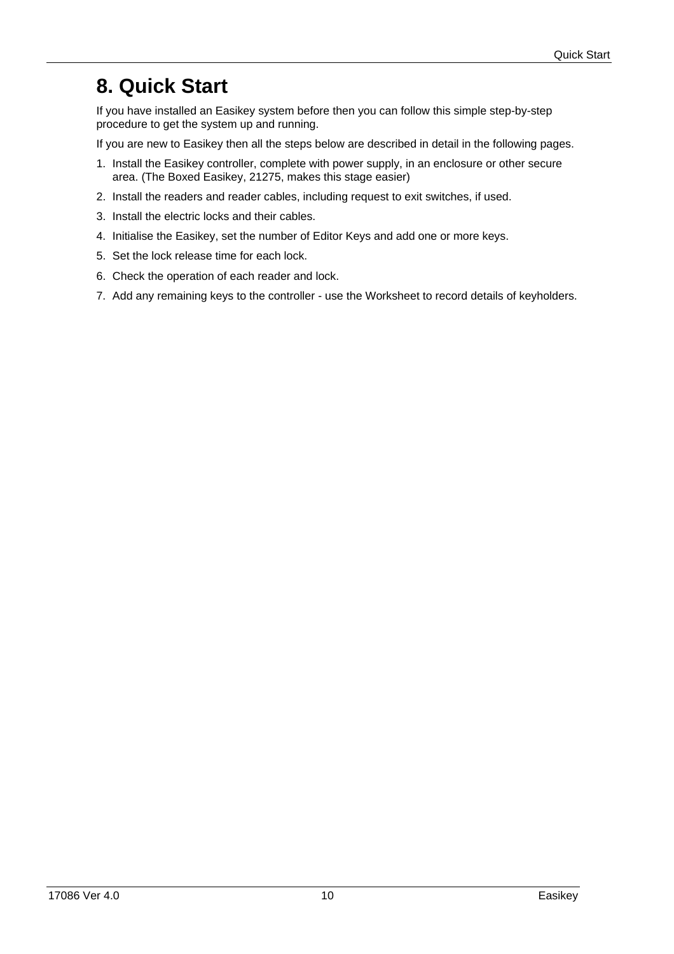## **8. Quick Start**

If you have installed an Easikey system before then you can follow this simple step-by-step procedure to get the system up and running.

If you are new to Easikey then all the steps below are described in detail in the following pages.

- 1. Install the Easikey controller, complete with power supply, in an enclosure or other secure area. (The Boxed Easikey, 21275, makes this stage easier)
- 2. Install the readers and reader cables, including request to exit switches, if used.
- 3. Install the electric locks and their cables.
- 4. Initialise the Easikey, set the number of Editor Keys and add one or more keys.
- 5. Set the lock release time for each lock.
- 6. Check the operation of each reader and lock.
- 7. Add any remaining keys to the controller use the Worksheet to record details of keyholders.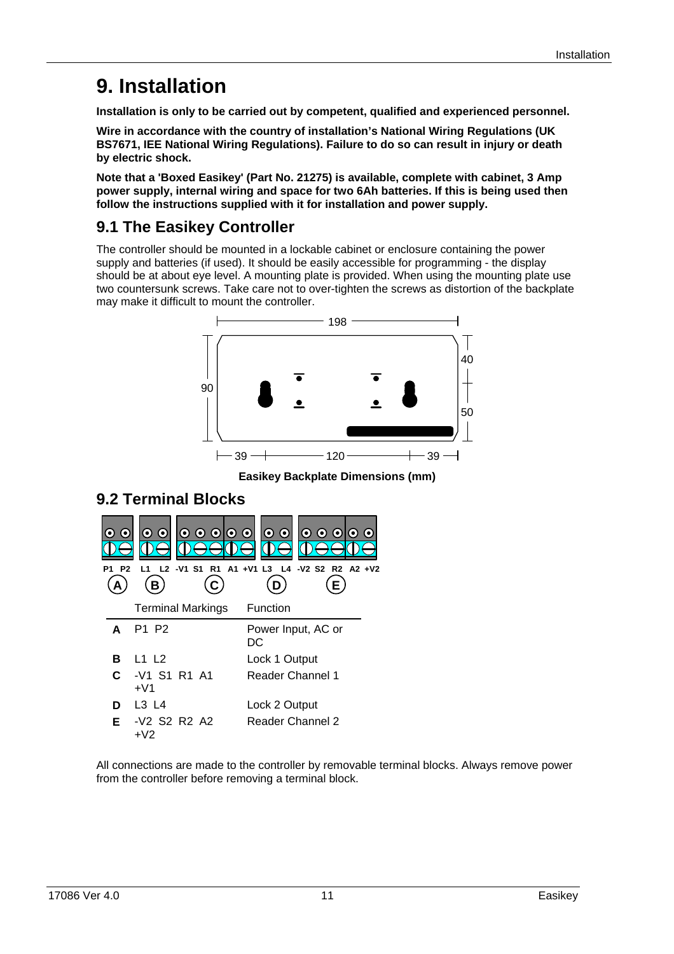## **9. Installation**

**Installation is only to be carried out by competent, qualified and experienced personnel.** 

**Wire in accordance with the country of installation's National Wiring Regulations (UK BS7671, IEE National Wiring Regulations). Failure to do so can result in injury or death by electric shock.** 

**Note that a 'Boxed Easikey' (Part No. 21275) is available, complete with cabinet, 3 Amp power supply, internal wiring and space for two 6Ah batteries. If this is being used then follow the instructions supplied with it for installation and power supply.** 

## **9.1 The Easikey Controller**

The controller should be mounted in a lockable cabinet or enclosure containing the power supply and batteries (if used). It should be easily accessible for programming - the display should be at about eye level. A mounting plate is provided. When using the mounting plate use two countersunk screws. Take care not to over-tighten the screws as distortion of the backplate may make it difficult to mount the controller.



**Easikey Backplate Dimensions (mm)** 

### **9.2 Terminal Blocks**

| $\boldsymbol{\Theta}$ | $\odot$ $\odot$<br>L1<br>$\overline{2}$ | -V1 S1<br>R1. | A1 +V1 L3                 | L4 -V2 S2 R2 A2 +V2 |  |
|-----------------------|-----------------------------------------|---------------|---------------------------|---------------------|--|
|                       | <b>Terminal Markings</b>                |               | Function                  |                     |  |
| A                     | P1 P2                                   |               | Power Input, AC or<br>DC. |                     |  |
| в                     | L1L2                                    |               | Lock 1 Output             |                     |  |
| C                     | -V1 S1 R1 A1<br>$+V1$                   |               | Reader Channel 1          |                     |  |
| D                     | L3L4                                    |               | Lock 2 Output             |                     |  |
| Е                     | -V2 S2 R2 A2<br>$+V2$                   |               | Reader Channel 2          |                     |  |

All connections are made to the controller by removable terminal blocks. Always remove power from the controller before removing a terminal block.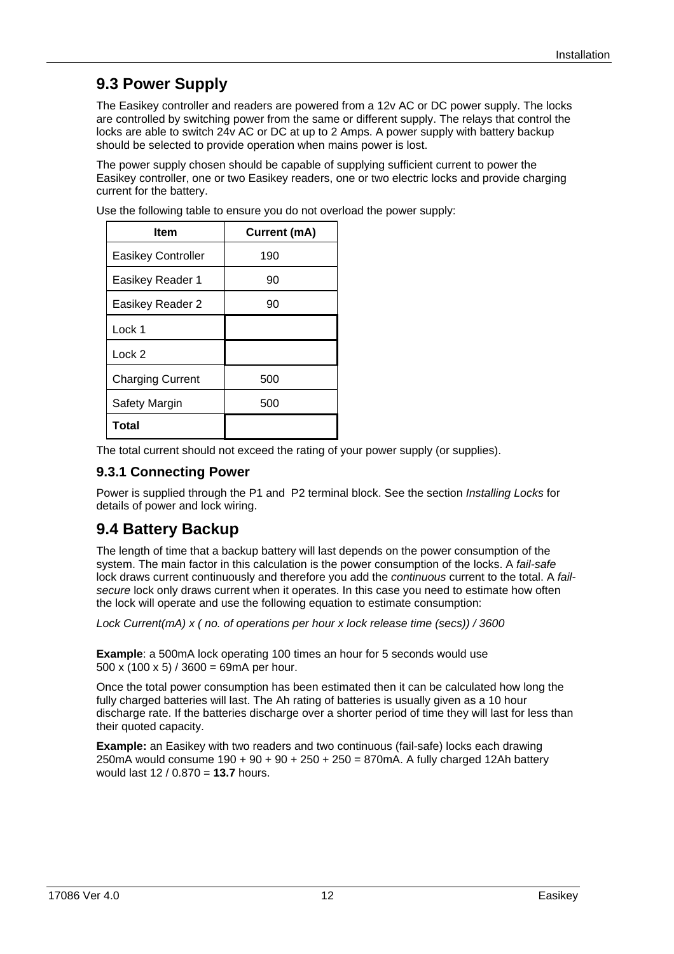## **9.3 Power Supply**

The Easikey controller and readers are powered from a 12v AC or DC power supply. The locks are controlled by switching power from the same or different supply. The relays that control the locks are able to switch 24v AC or DC at up to 2 Amps. A power supply with battery backup should be selected to provide operation when mains power is lost.

The power supply chosen should be capable of supplying sufficient current to power the Easikey controller, one or two Easikey readers, one or two electric locks and provide charging current for the battery.

Use the following table to ensure you do not overload the power supply:

| <b>Item</b>             | Current (mA) |
|-------------------------|--------------|
| Easikey Controller      | 190          |
| Easikey Reader 1        | 90           |
| Easikey Reader 2        | 90           |
| Lock 1                  |              |
| Lock 2                  |              |
| <b>Charging Current</b> | 500          |
| Safety Margin           | 500          |
| <b>Total</b>            |              |

The total current should not exceed the rating of your power supply (or supplies).

#### **9.3.1 Connecting Power**

Power is supplied through the P1 and P2 terminal block. See the section *Installing Locks* for details of power and lock wiring.

### **9.4 Battery Backup**

The length of time that a backup battery will last depends on the power consumption of the system. The main factor in this calculation is the power consumption of the locks. A *fail-safe* lock draws current continuously and therefore you add the *continuous* current to the total. A *failsecure* lock only draws current when it operates. In this case you need to estimate how often the lock will operate and use the following equation to estimate consumption:

*Lock Current(mA) x ( no. of operations per hour x lock release time (secs)) / 3600* 

**Example**: a 500mA lock operating 100 times an hour for 5 seconds would use 500 x (100 x 5) / 3600 = 69mA per hour.

Once the total power consumption has been estimated then it can be calculated how long the fully charged batteries will last. The Ah rating of batteries is usually given as a 10 hour discharge rate. If the batteries discharge over a shorter period of time they will last for less than their quoted capacity.

**Example:** an Easikey with two readers and two continuous (fail-safe) locks each drawing 250mA would consume 190 + 90 + 90 + 250 + 250 = 870mA. A fully charged 12Ah battery would last 12 / 0.870 = **13.7** hours.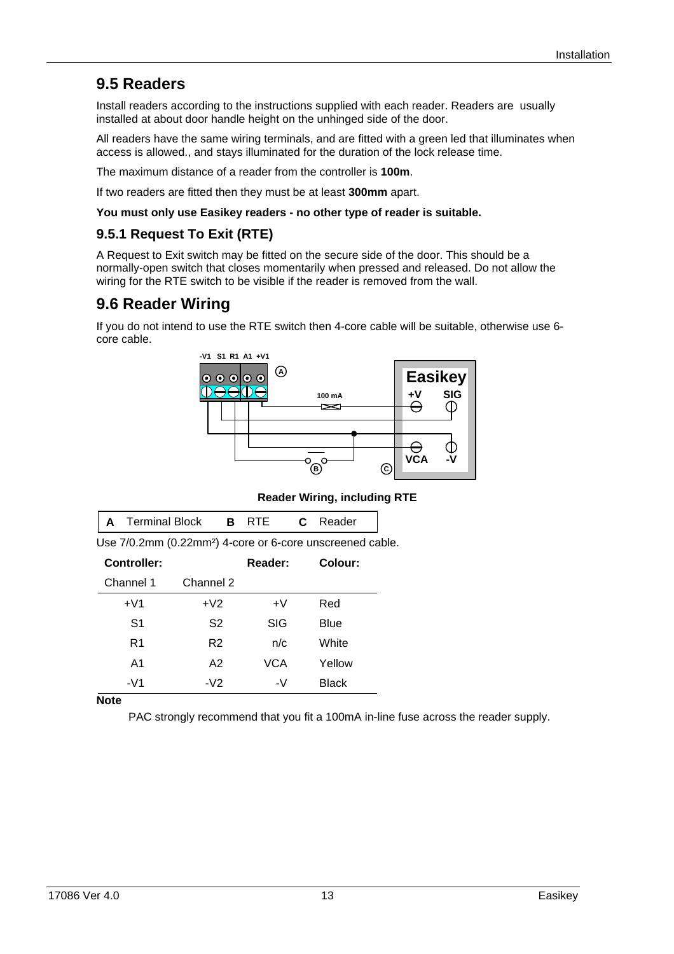### **9.5 Readers**

Install readers according to the instructions supplied with each reader. Readers are usually installed at about door handle height on the unhinged side of the door.

All readers have the same wiring terminals, and are fitted with a green led that illuminates when access is allowed., and stays illuminated for the duration of the lock release time.

The maximum distance of a reader from the controller is **100m**.

If two readers are fitted then they must be at least **300mm** apart.

#### **You must only use Easikey readers - no other type of reader is suitable.**

#### **9.5.1 Request To Exit (RTE)**

A Request to Exit switch may be fitted on the secure side of the door. This should be a normally-open switch that closes momentarily when pressed and released. Do not allow the wiring for the RTE switch to be visible if the reader is removed from the wall.

### **9.6 Reader Wiring**

If you do not intend to use the RTE switch then 4-core cable will be suitable, otherwise use 6 core cable.



#### **Reader Wiring, including RTE**

| А | <b>Terminal Block</b> | в | C. | Reader |  |
|---|-----------------------|---|----|--------|--|
|   |                       |   |    |        |  |

Use 7/0.2mm (0.22mm²) 4-core or 6-core unscreened cable.

| Controller:    |                | Reader:    | Colour:      |
|----------------|----------------|------------|--------------|
| Channel 1      | Channel 2      |            |              |
| $+V1$          | $+V2$          | $+V$       | Red          |
| S <sub>1</sub> | S <sub>2</sub> | <b>SIG</b> | Blue         |
| R1             | R <sub>2</sub> | n/c        | White        |
| A1             | A2             | VCA        | Yellow       |
| $-V1$          | $-V2$          | -V         | <b>Black</b> |

**Note** 

PAC strongly recommend that you fit a 100mA in-line fuse across the reader supply.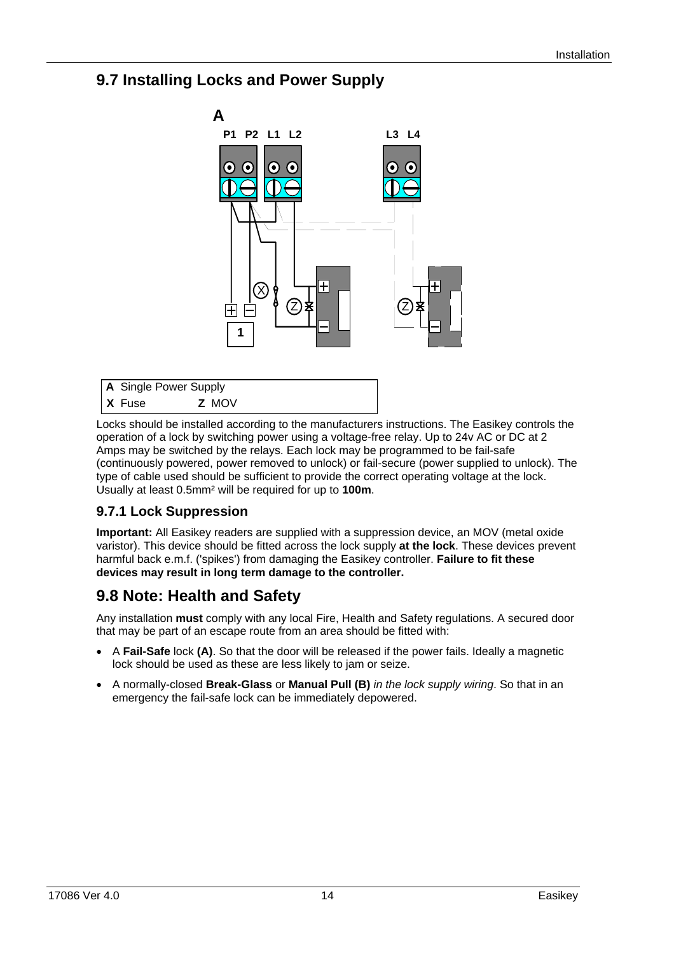### **9.7 Installing Locks and Power Supply**



|               | A Single Power Supply |  |
|---------------|-----------------------|--|
| <b>X</b> Fuse | <b>Z</b> MOV          |  |

Locks should be installed according to the manufacturers instructions. The Easikey controls the operation of a lock by switching power using a voltage-free relay. Up to 24v AC or DC at 2 Amps may be switched by the relays. Each lock may be programmed to be fail-safe (continuously powered, power removed to unlock) or fail-secure (power supplied to unlock). The type of cable used should be sufficient to provide the correct operating voltage at the lock. Usually at least 0.5mm² will be required for up to **100m**.

#### **9.7.1 Lock Suppression**

**Important:** All Easikey readers are supplied with a suppression device, an MOV (metal oxide varistor). This device should be fitted across the lock supply **at the lock**. These devices prevent harmful back e.m.f. ('spikes') from damaging the Easikey controller. **Failure to fit these devices may result in long term damage to the controller.**

### **9.8 Note: Health and Safety**

Any installation **must** comply with any local Fire, Health and Safety regulations. A secured door that may be part of an escape route from an area should be fitted with:

- A **Fail-Safe** lock **(A)**. So that the door will be released if the power fails. Ideally a magnetic lock should be used as these are less likely to jam or seize.
- A normally-closed **Break-Glass** or **Manual Pull (B)** *in the lock supply wiring*. So that in an emergency the fail-safe lock can be immediately depowered.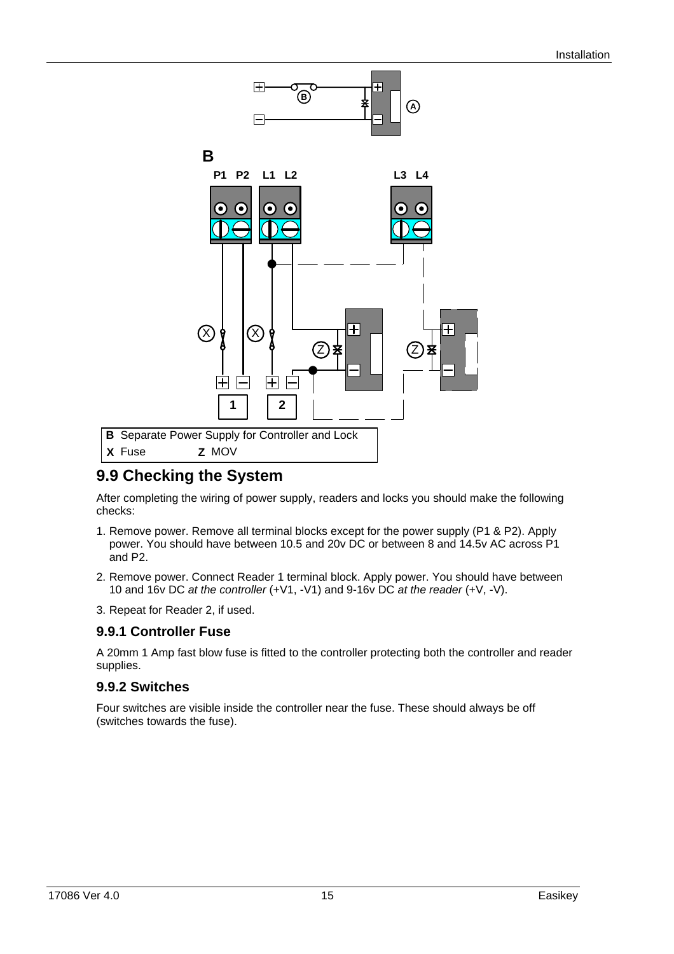

### **9.9 Checking the System**

After completing the wiring of power supply, readers and locks you should make the following checks:

- 1. Remove power. Remove all terminal blocks except for the power supply (P1 & P2). Apply power. You should have between 10.5 and 20v DC or between 8 and 14.5v AC across P1 and P2.
- 2. Remove power. Connect Reader 1 terminal block. Apply power. You should have between 10 and 16v DC *at the controller* (+V1, -V1) and 9-16v DC *at the reader* (+V, -V).
- 3. Repeat for Reader 2, if used.

#### **9.9.1 Controller Fuse**

A 20mm 1 Amp fast blow fuse is fitted to the controller protecting both the controller and reader supplies.

#### **9.9.2 Switches**

Four switches are visible inside the controller near the fuse. These should always be off (switches towards the fuse).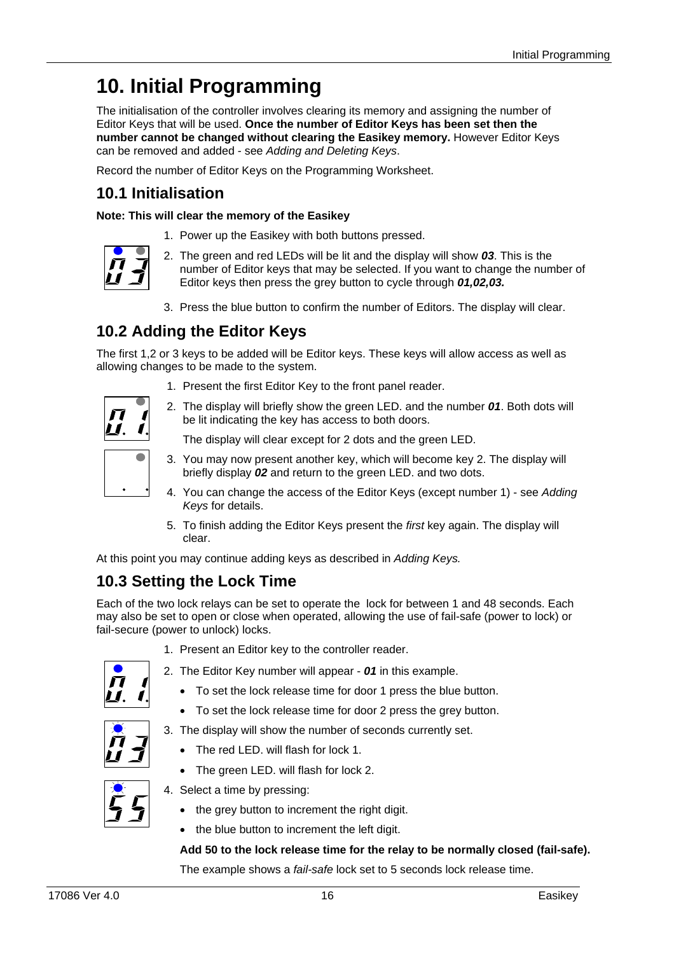## **10. Initial Programming**

The initialisation of the controller involves clearing its memory and assigning the number of Editor Keys that will be used. **Once the number of Editor Keys has been set then the number cannot be changed without clearing the Easikey memory.** However Editor Keys can be removed and added - see *Adding and Deleting Keys*.

Record the number of Editor Keys on the Programming Worksheet.

### **10.1 Initialisation**

**Note: This will clear the memory of the Easikey** 

1. Power up the Easikey with both buttons pressed.



- 2. The green and red LEDs will be lit and the display will show *03*. This is the number of Editor keys that may be selected. If you want to change the number of Editor keys then press the grey button to cycle through *01,02,03.*
- 3. Press the blue button to confirm the number of Editors. The display will clear.

### **10.2 Adding the Editor Keys**

The first 1,2 or 3 keys to be added will be Editor keys. These keys will allow access as well as allowing changes to be made to the system.

1. Present the first Editor Key to the front panel reader.



2. The display will briefly show the green LED. and the number *01*. Both dots will be lit indicating the key has access to both doors.

The display will clear except for 2 dots and the green LED.

- 3. You may now present another key, which will become key 2. The display will briefly display *02* and return to the green LED. and two dots.
- 4. You can change the access of the Editor Keys (except number 1) see *Adding Keys* for details.
- 5. To finish adding the Editor Keys present the *first* key again. The display will clear.

At this point you may continue adding keys as described in *Adding Keys.*

### **10.3 Setting the Lock Time**

Each of the two lock relays can be set to operate the lock for between 1 and 48 seconds. Each may also be set to open or close when operated, allowing the use of fail-safe (power to lock) or fail-secure (power to unlock) locks.

1. Present an Editor key to the controller reader.



- 2. The Editor Key number will appear *01* in this example.
	- To set the lock release time for door 1 press the blue button.
	- To set the lock release time for door 2 press the grey button.



- 3. The display will show the number of seconds currently set.
	- The red LED. will flash for lock 1.
	- The green LED. will flash for lock 2.



- 4. Select a time by pressing:
	- the grey button to increment the right digit.
	- the blue button to increment the left digit.

#### **Add 50 to the lock release time for the relay to be normally closed (fail-safe).**

The example shows a *fail-safe* lock set to 5 seconds lock release time.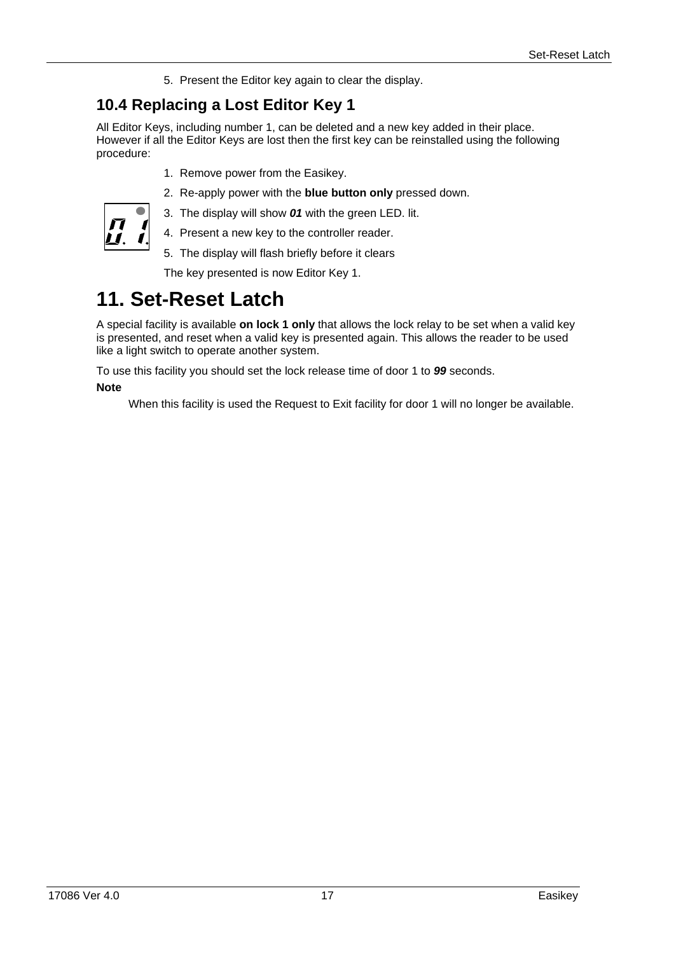5. Present the Editor key again to clear the display.

### **10.4 Replacing a Lost Editor Key 1**

All Editor Keys, including number 1, can be deleted and a new key added in their place. However if all the Editor Keys are lost then the first key can be reinstalled using the following procedure:

- 1. Remove power from the Easikey.
- 2. Re-apply power with the **blue button only** pressed down.



3. The display will show *01* with the green LED. lit.

4. Present a new key to the controller reader.

5. The display will flash briefly before it clears

The key presented is now Editor Key 1.

## **11. Set-Reset Latch**

A special facility is available **on lock 1 only** that allows the lock relay to be set when a valid key is presented, and reset when a valid key is presented again. This allows the reader to be used like a light switch to operate another system.

To use this facility you should set the lock release time of door 1 to *99* seconds.

**Note** 

When this facility is used the Request to Exit facility for door 1 will no longer be available.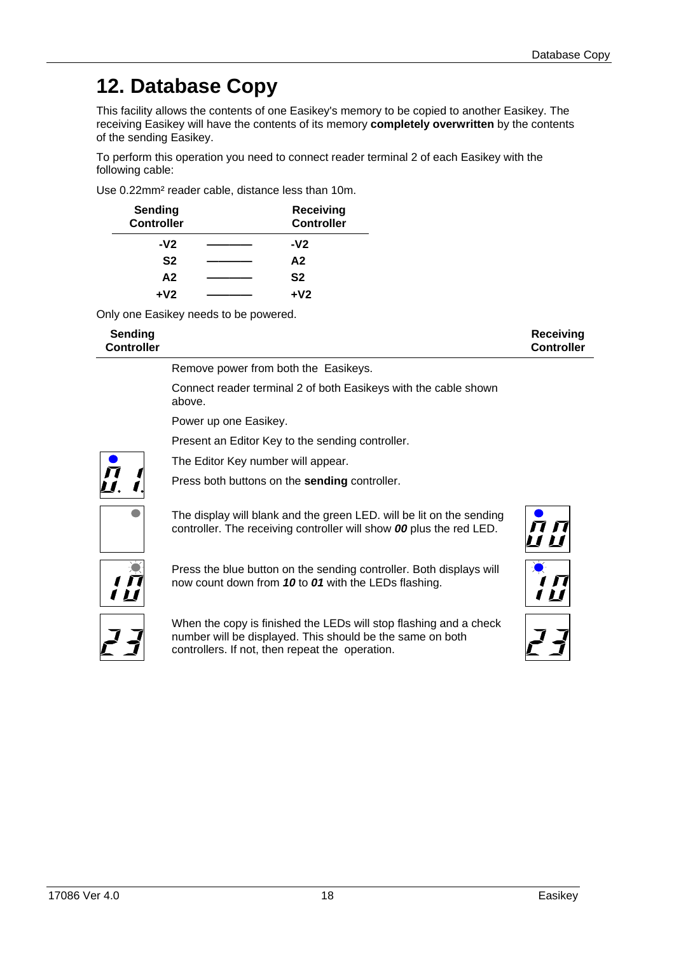## **12. Database Copy**

This facility allows the contents of one Easikey's memory to be copied to another Easikey. The receiving Easikey will have the contents of its memory **completely overwritten** by the contents of the sending Easikey.

To perform this operation you need to connect reader terminal 2 of each Easikey with the following cable:

Use 0.22mm² reader cable, distance less than 10m.

| <b>Sending</b><br><b>Controller</b> | Receiving<br><b>Controller</b> |
|-------------------------------------|--------------------------------|
| -V <sub>2</sub>                     | $-V2$                          |
| S <sub>2</sub>                      | A2                             |
| A2                                  | S <sub>2</sub>                 |
| $+V2$                               | $+V2$                          |

Only one Easikey needs to be powered.

| <b>Sending</b><br><b>Controller</b> |                                                                                                                                                                                   | <b>Receiving</b><br><b>Controller</b> |
|-------------------------------------|-----------------------------------------------------------------------------------------------------------------------------------------------------------------------------------|---------------------------------------|
|                                     | Remove power from both the Easikeys.                                                                                                                                              |                                       |
|                                     | Connect reader terminal 2 of both Easikeys with the cable shown<br>above.                                                                                                         |                                       |
|                                     | Power up one Easikey.                                                                                                                                                             |                                       |
|                                     | Present an Editor Key to the sending controller.                                                                                                                                  |                                       |
|                                     | The Editor Key number will appear.                                                                                                                                                |                                       |
|                                     | Press both buttons on the sending controller.                                                                                                                                     |                                       |
|                                     | The display will blank and the green LED. will be lit on the sending<br>controller. The receiving controller will show 00 plus the red LED.                                       |                                       |
|                                     | Press the blue button on the sending controller. Both displays will<br>now count down from 10 to 01 with the LEDs flashing.                                                       |                                       |
|                                     | When the copy is finished the LEDs will stop flashing and a check<br>number will be displayed. This should be the same on both<br>controllers. If not, then repeat the operation. |                                       |
|                                     |                                                                                                                                                                                   |                                       |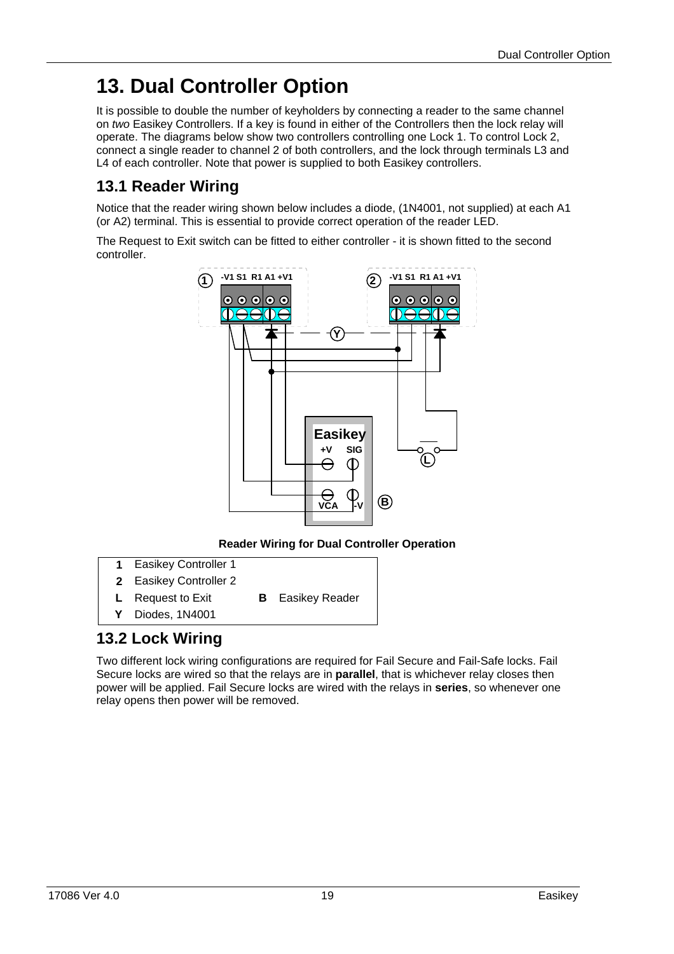## **13. Dual Controller Option**

It is possible to double the number of keyholders by connecting a reader to the same channel on *two* Easikey Controllers. If a key is found in either of the Controllers then the lock relay will operate. The diagrams below show two controllers controlling one Lock 1. To control Lock 2, connect a single reader to channel 2 of both controllers, and the lock through terminals L3 and L4 of each controller. Note that power is supplied to both Easikey controllers.

## **13.1 Reader Wiring**

Notice that the reader wiring shown below includes a diode, (1N4001, not supplied) at each A1 (or A2) terminal. This is essential to provide correct operation of the reader LED.

The Request to Exit switch can be fitted to either controller - it is shown fitted to the second controller.



#### **Reader Wiring for Dual Controller Operation**

- **1** Easikey Controller 1
- **2** Easikey Controller 2
- **L** Request to Exit **B** Easikey Reader
- **Y** Diodes, 1N4001

### **13.2 Lock Wiring**

Two different lock wiring configurations are required for Fail Secure and Fail-Safe locks. Fail Secure locks are wired so that the relays are in **parallel**, that is whichever relay closes then power will be applied. Fail Secure locks are wired with the relays in **series**, so whenever one relay opens then power will be removed.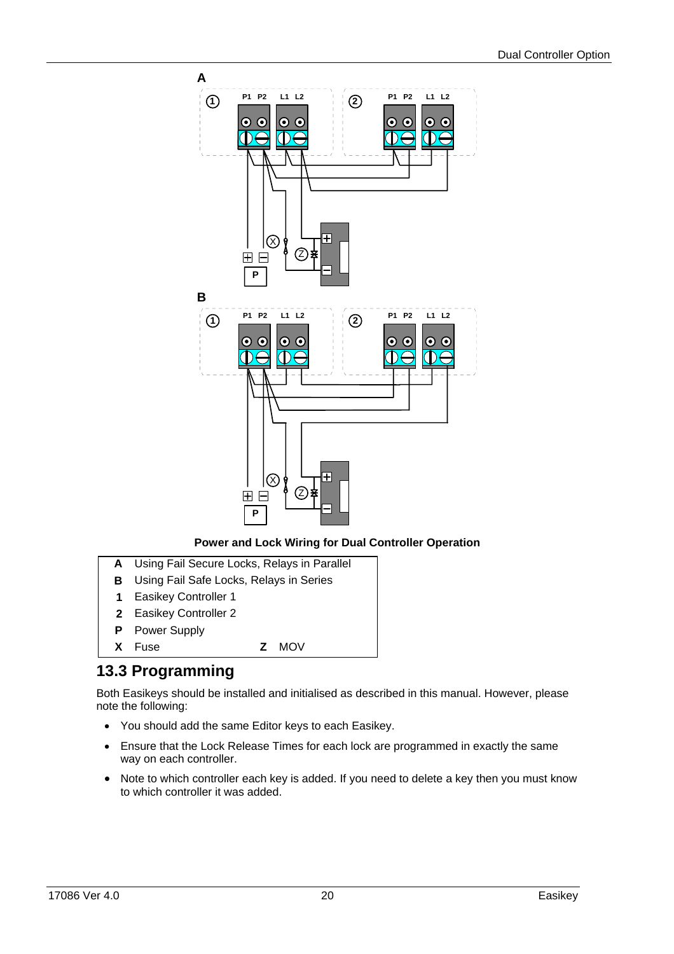

#### **Power and Lock Wiring for Dual Controller Operation**

- **A** Using Fail Secure Locks, Relays in Parallel
- **B** Using Fail Safe Locks, Relays in Series
- **1** Easikey Controller 1
- **2** Easikey Controller 2
- **P** Power Supply
- **X** Fuse **Z** MOV

### **13.3 Programming**

Both Easikeys should be installed and initialised as described in this manual. However, please note the following:

- You should add the same Editor keys to each Easikey.
- Ensure that the Lock Release Times for each lock are programmed in exactly the same way on each controller.
- Note to which controller each key is added. If you need to delete a key then you must know to which controller it was added.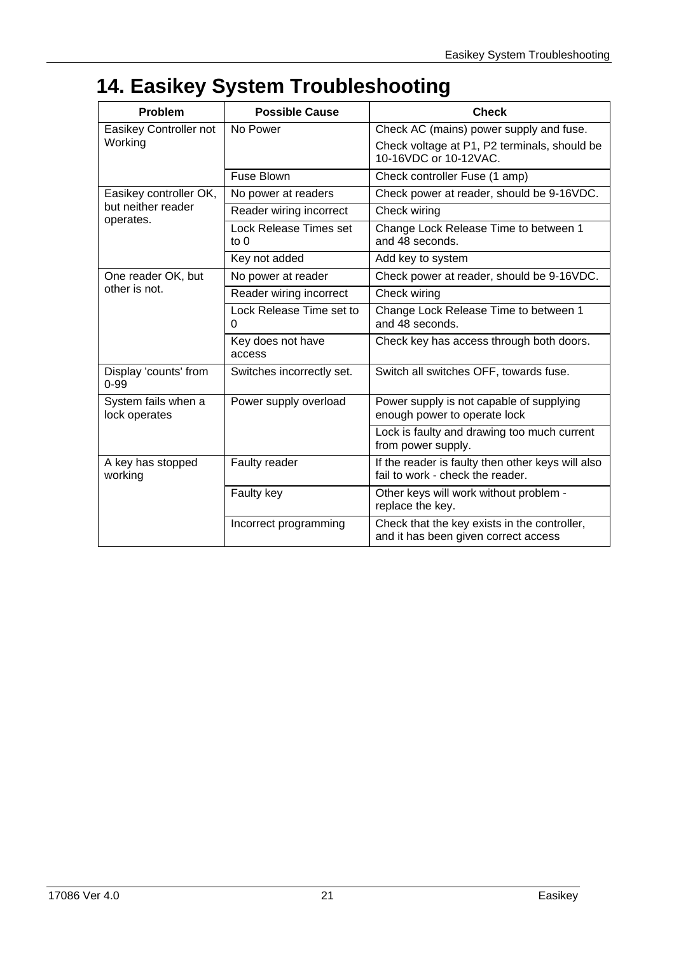# **14. Easikey System Troubleshooting**

| <b>Problem</b>                       | <b>Possible Cause</b>                                | <b>Check</b>                                                                          |
|--------------------------------------|------------------------------------------------------|---------------------------------------------------------------------------------------|
| Easikey Controller not               | No Power                                             | Check AC (mains) power supply and fuse.                                               |
| Working                              |                                                      | Check voltage at P1, P2 terminals, should be<br>10-16VDC or 10-12VAC.                 |
|                                      | Fuse Blown                                           | Check controller Fuse (1 amp)                                                         |
| Easikey controller OK,               | No power at readers                                  | Check power at reader, should be 9-16VDC.                                             |
| but neither reader<br>operates.      | Reader wiring incorrect                              | Check wiring                                                                          |
|                                      | <b>Lock Release Times set</b><br>$\mathfrak{g}$ to 0 | Change Lock Release Time to between 1<br>and 48 seconds.                              |
|                                      | Key not added                                        | Add key to system                                                                     |
| One reader OK, but<br>other is not.  | No power at reader                                   | Check power at reader, should be 9-16VDC.                                             |
|                                      | Reader wiring incorrect                              | Check wiring                                                                          |
|                                      | Lock Release Time set to<br>0                        | Change Lock Release Time to between 1<br>and 48 seconds.                              |
|                                      | Key does not have<br>access                          | Check key has access through both doors.                                              |
| Display 'counts' from<br>$0 - 99$    | Switches incorrectly set.                            | Switch all switches OFF, towards fuse.                                                |
| System fails when a<br>lock operates | Power supply overload                                | Power supply is not capable of supplying<br>enough power to operate lock              |
|                                      |                                                      | Lock is faulty and drawing too much current<br>from power supply.                     |
| A key has stopped<br>working         | Faulty reader                                        | If the reader is faulty then other keys will also<br>fail to work - check the reader. |
|                                      | Faulty key                                           | Other keys will work without problem -<br>replace the key.                            |
|                                      | Incorrect programming                                | Check that the key exists in the controller,<br>and it has been given correct access  |